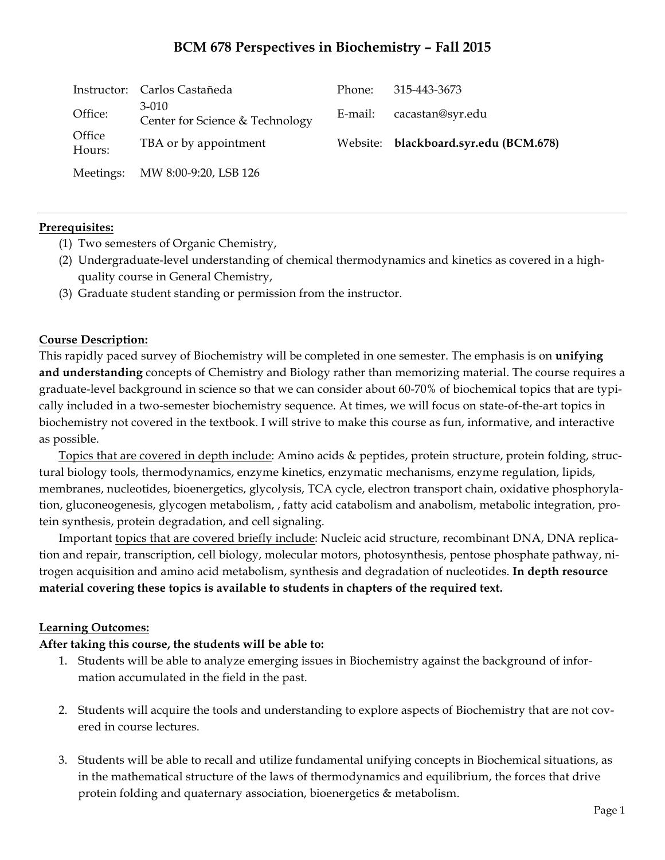# **BCM 678 Perspectives in Biochemistry – Fall 2015**

|                  | Instructor: Carlos Castañeda               | Phone: | 315-443-3673                          |
|------------------|--------------------------------------------|--------|---------------------------------------|
| Office:          | $3-010$<br>Center for Science & Technology |        | E-mail: cacastan@syr.edu              |
| Office<br>Hours: | TBA or by appointment                      |        | Website: blackboard.syr.edu (BCM.678) |
|                  | Meetings: MW 8:00-9:20, LSB 126            |        |                                       |

#### **Prerequisites:**

- (1) Two semesters of Organic Chemistry,
- (2) Undergraduate-level understanding of chemical thermodynamics and kinetics as covered in a highquality course in General Chemistry,
- (3) Graduate student standing or permission from the instructor.

#### **Course Description:**

This rapidly paced survey of Biochemistry will be completed in one semester. The emphasis is on **unifying and understanding** concepts of Chemistry and Biology rather than memorizing material. The course requires a graduate-level background in science so that we can consider about 60-70% of biochemical topics that are typically included in a two-semester biochemistry sequence. At times, we will focus on state-of-the-art topics in biochemistry not covered in the textbook. I will strive to make this course as fun, informative, and interactive as possible.

Topics that are covered in depth include: Amino acids & peptides, protein structure, protein folding, structural biology tools, thermodynamics, enzyme kinetics, enzymatic mechanisms, enzyme regulation, lipids, membranes, nucleotides, bioenergetics, glycolysis, TCA cycle, electron transport chain, oxidative phosphorylation, gluconeogenesis, glycogen metabolism, , fatty acid catabolism and anabolism, metabolic integration, protein synthesis, protein degradation, and cell signaling.

Important topics that are covered briefly include: Nucleic acid structure, recombinant DNA, DNA replication and repair, transcription, cell biology, molecular motors, photosynthesis, pentose phosphate pathway, nitrogen acquisition and amino acid metabolism, synthesis and degradation of nucleotides. **In depth resource material covering these topics is available to students in chapters of the required text.**

### **Learning Outcomes:**

### **After taking this course, the students will be able to:**

- 1. Students will be able to analyze emerging issues in Biochemistry against the background of information accumulated in the field in the past.
- 2. Students will acquire the tools and understanding to explore aspects of Biochemistry that are not covered in course lectures.
- 3. Students will be able to recall and utilize fundamental unifying concepts in Biochemical situations, as in the mathematical structure of the laws of thermodynamics and equilibrium, the forces that drive protein folding and quaternary association, bioenergetics & metabolism.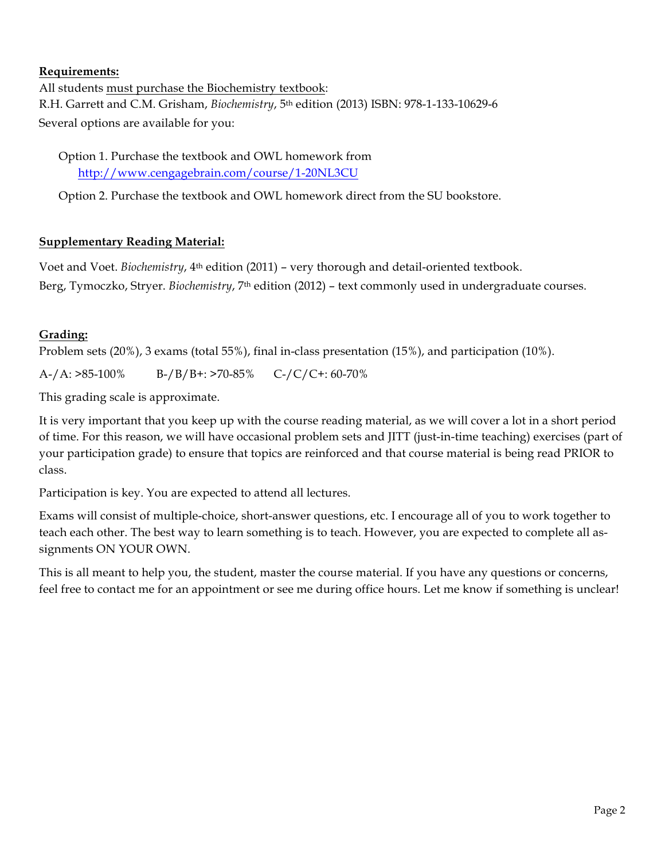### **Requirements:**

All students must purchase the Biochemistry textbook: R.H. Garrett and C.M. Grisham, *Biochemistry*, 5th edition (2013) ISBN: 978-1-133-10629-6 Several options are available for you:

Option 1. Purchase the textbook and OWL homework from http://www.cengagebrain.com/course/1-20NL3CU

Option 2. Purchase the textbook and OWL homework direct from the SU bookstore.

### **Supplementary Reading Material:**

Voet and Voet. *Biochemistry*, 4th edition (2011) – very thorough and detail-oriented textbook. Berg, Tymoczko, Stryer. *Biochemistry*, 7<sup>th</sup> edition (2012) – text commonly used in undergraduate courses.

### **Grading:**

Problem sets (20%), 3 exams (total 55%), final in-class presentation (15%), and participation (10%).

A-/A: >85-100% B-/B/B+: >70-85% C-/C/C+: 60-70%

This grading scale is approximate.

It is very important that you keep up with the course reading material, as we will cover a lot in a short period of time. For this reason, we will have occasional problem sets and JITT (just-in-time teaching) exercises (part of your participation grade) to ensure that topics are reinforced and that course material is being read PRIOR to class.

Participation is key. You are expected to attend all lectures.

Exams will consist of multiple-choice, short-answer questions, etc. I encourage all of you to work together to teach each other. The best way to learn something is to teach. However, you are expected to complete all assignments ON YOUR OWN.

This is all meant to help you, the student, master the course material. If you have any questions or concerns, feel free to contact me for an appointment or see me during office hours. Let me know if something is unclear!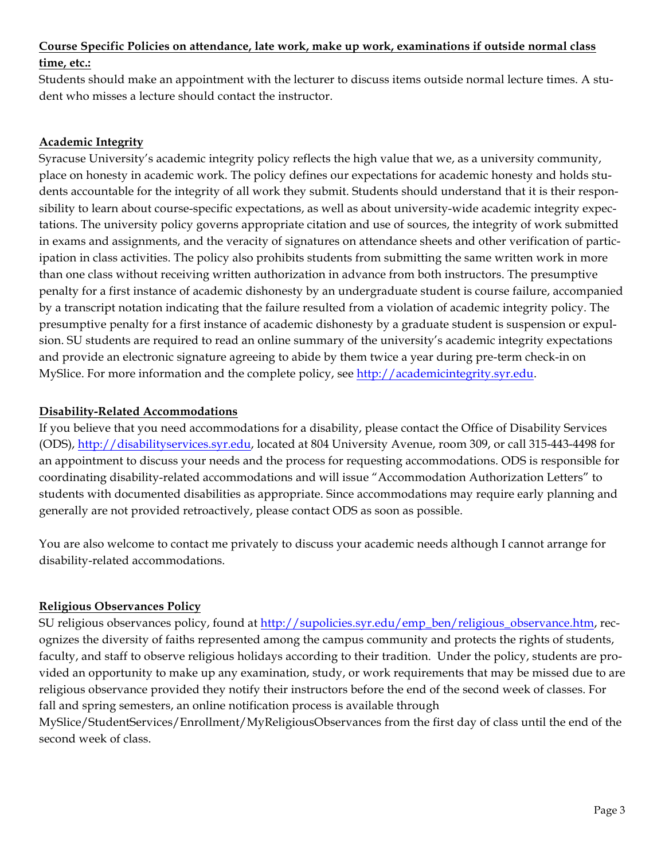#### **Course Specific Policies on attendance, late work, make up work, examinations if outside normal class time, etc.:**

Students should make an appointment with the lecturer to discuss items outside normal lecture times. A student who misses a lecture should contact the instructor.

## **Academic Integrity**

Syracuse University's academic integrity policy reflects the high value that we, as a university community, place on honesty in academic work. The policy defines our expectations for academic honesty and holds students accountable for the integrity of all work they submit. Students should understand that it is their responsibility to learn about course-specific expectations, as well as about university-wide academic integrity expectations. The university policy governs appropriate citation and use of sources, the integrity of work submitted in exams and assignments, and the veracity of signatures on attendance sheets and other verification of participation in class activities. The policy also prohibits students from submitting the same written work in more than one class without receiving written authorization in advance from both instructors. The presumptive penalty for a first instance of academic dishonesty by an undergraduate student is course failure, accompanied by a transcript notation indicating that the failure resulted from a violation of academic integrity policy. The presumptive penalty for a first instance of academic dishonesty by a graduate student is suspension or expulsion. SU students are required to read an online summary of the university's academic integrity expectations and provide an electronic signature agreeing to abide by them twice a year during pre-term check-in on MySlice. For more information and the complete policy, see http://academicintegrity.syr.edu.

## **Disability-Related Accommodations**

If you believe that you need accommodations for a disability, please contact the Office of Disability Services (ODS), http://disabilityservices.syr.edu, located at 804 University Avenue, room 309, or call 315-443-4498 for an appointment to discuss your needs and the process for requesting accommodations. ODS is responsible for coordinating disability-related accommodations and will issue "Accommodation Authorization Letters" to students with documented disabilities as appropriate. Since accommodations may require early planning and generally are not provided retroactively, please contact ODS as soon as possible.

You are also welcome to contact me privately to discuss your academic needs although I cannot arrange for disability-related accommodations.

## **Religious Observances Policy**

SU religious observances policy, found at http://supolicies.syr.edu/emp\_ben/religious\_observance.htm, recognizes the diversity of faiths represented among the campus community and protects the rights of students, faculty, and staff to observe religious holidays according to their tradition. Under the policy, students are provided an opportunity to make up any examination, study, or work requirements that may be missed due to are religious observance provided they notify their instructors before the end of the second week of classes. For fall and spring semesters, an online notification process is available through

MySlice/StudentServices/Enrollment/MyReligiousObservances from the first day of class until the end of the second week of class.